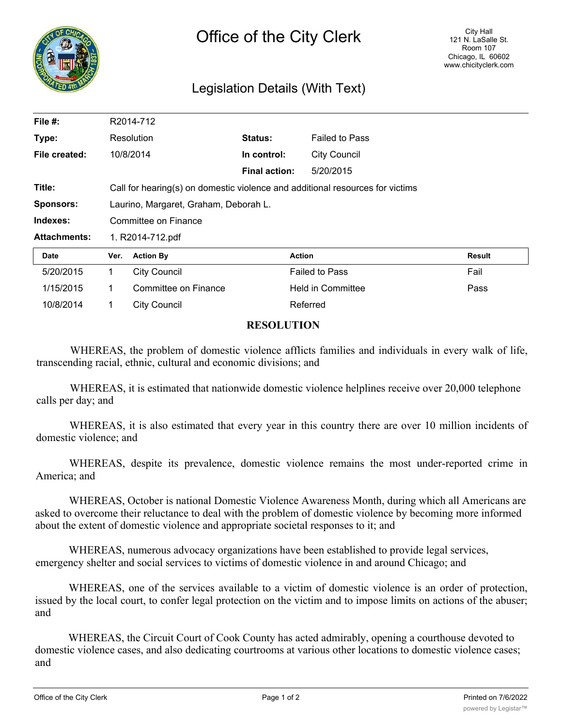

## Legislation Details (With Text)

| File $#$ :          | R2014-712                                                                     |                      |                      |                          |               |
|---------------------|-------------------------------------------------------------------------------|----------------------|----------------------|--------------------------|---------------|
| Type:               | Resolution                                                                    |                      | Status:              | <b>Failed to Pass</b>    |               |
| File created:       |                                                                               | 10/8/2014            | In control:          | <b>City Council</b>      |               |
|                     |                                                                               |                      | <b>Final action:</b> | 5/20/2015                |               |
| Title:              | Call for hearing(s) on domestic violence and additional resources for victims |                      |                      |                          |               |
| <b>Sponsors:</b>    | Laurino, Margaret, Graham, Deborah L.                                         |                      |                      |                          |               |
| Indexes:            | Committee on Finance                                                          |                      |                      |                          |               |
| <b>Attachments:</b> | 1. R2014-712.pdf                                                              |                      |                      |                          |               |
| <b>Date</b>         | Ver.                                                                          | <b>Action By</b>     |                      | <b>Action</b>            | <b>Result</b> |
| 5/20/2015           | 1                                                                             | <b>City Council</b>  |                      | <b>Failed to Pass</b>    | Fail          |
| 1/15/2015           | 1                                                                             | Committee on Finance |                      | <b>Held in Committee</b> | Pass          |
| 10/8/2014           | 1                                                                             | <b>City Council</b>  |                      | Referred                 |               |
|                     |                                                                               |                      |                      |                          |               |

## **RESOLUTION**

WHEREAS, the problem of domestic violence afflicts families and individuals in every walk of life, transcending racial, ethnic, cultural and economic divisions; and

WHEREAS, it is estimated that nationwide domestic violence helplines receive over 20,000 telephone calls per day; and

WHEREAS, it is also estimated that every year in this country there are over 10 million incidents of domestic violence; and

WHEREAS, despite its prevalence, domestic violence remains the most under-reported crime in America; and

WHEREAS, October is national Domestic Violence Awareness Month, during which all Americans are asked to overcome their reluctance to deal with the problem of domestic violence by becoming more informed about the extent of domestic violence and appropriate societal responses to it; and

WHEREAS, numerous advocacy organizations have been established to provide legal services, emergency shelter and social services to victims of domestic violence in and around Chicago; and

WHEREAS, one of the services available to a victim of domestic violence is an order of protection, issued by the local court, to confer legal protection on the victim and to impose limits on actions of the abuser; and

WHEREAS, the Circuit Court of Cook County has acted admirably, opening a courthouse devoted to domestic violence cases, and also dedicating courtrooms at various other locations to domestic violence cases; and